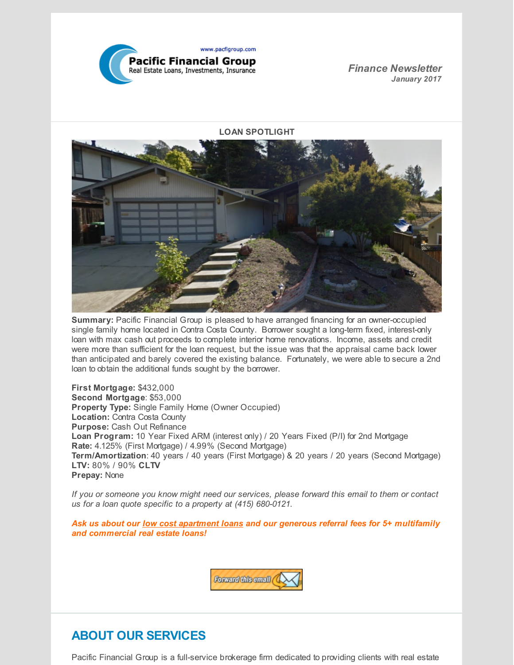

*Finance Newsletter January 2017*

**LOAN SPOTLIGHT**



**Summary:** Pacific Financial Group is pleased to have arranged financing for an owner-occupied single family home located in Contra Costa County. Borrower sought a long-term fixed, interest-only loan with max cash out proceeds to complete interior home renovations. Income, assets and credit were more than sufficient for the loan request, but the issue was that the appraisal came back lower than anticipated and barely covered the existing balance. Fortunately, we were able to secure a 2nd loan to obtain the additional funds sought by the borrower.

**First Mortgage:** \$432,000 **Second Mortgage**: \$53,000 **Property Type:** Single Family Home (Owner Occupied) **Location:** Contra Costa County **Purpose:** Cash Out Refinance **Loan Program:** 10 Year Fixed ARM (interest only) / 20 Years Fixed (P/I) for 2nd Mortgage **Rate:** 4.125% (First Mortgage) / 4.99% (Second Mortgage) **Term/Amortization**: 40 years / 40 years (First Mortgage) & 20 years / 20 years (Second Mortgage) **LTV:** 80% / 90% **CLTV Prepay:** None

*If you or someone you know might need our services, please forward this email to them or contact us for a loan quote specific to a property at (415) 680-0121.*

*Ask us about our low cost apartment loans and our generous referral fees for 5+ multifamily and commercial real estate loans!*



# **ABOUT OUR SERVICES**

Pacific Financial Group is a full-service brokerage firm dedicated to providing clients with real estate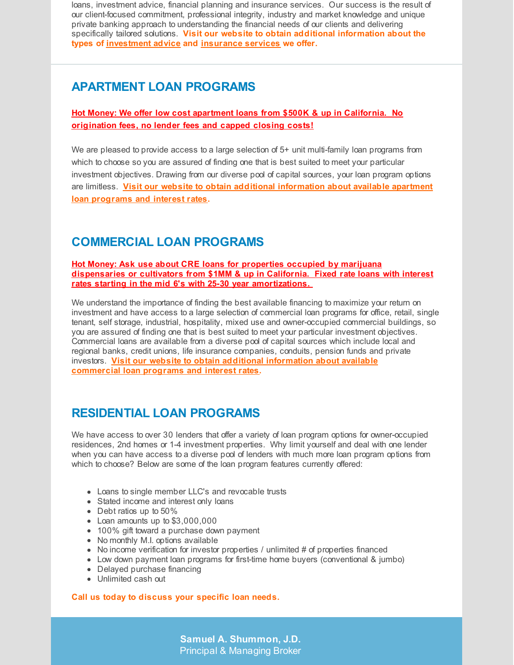loans, investment advice, financial planning and insurance services. Our success is the result of our client-focused commitment, professional integrity, industry and market knowledge and unique private banking approach to understanding the financial needs of our clients and delivering specifically tailored solutions. **Visit our website to obtain additional information about the types of [investment](http://www.pacfigroup.com/investments.html) advice and [insurance](http://www.pacfigroup.com/Insurance-Services.html) services we offer.**

## **APARTMENT LOAN PROGRAMS**

#### **Hot Money: We offer low cost apartment loans from \$500K & up in California. No origination fees, no lender fees and capped closing costs!**

We are pleased to provide access to a large selection of 5+ unit multi-family loan programs from which to choose so you are assured of finding one that is best suited to meet your particular investment objectives. Drawing from our diverse pool of capital sources, your loan program options are limitless. **Visit our website to obtain additional [information](http://www.pacfigroup.com/Apartment-Loans.html) about available apartment loan programs and interest rates.**

# **COMMERCIAL LOAN PROGRAMS**

**Hot Money: Ask use about CRE loans for properties occupied by marijuana dispensaries or cultivators from \$1MM & up in California. Fixed rate loans with interest rates starting in the mid 6's with 25-30 year amortizations.**

We understand the importance of finding the best available financing to maximize your return on investment and have access to a large selection of commercial loan programs for office, retail, single tenant, self storage, industrial, hospitality, mixed use and owner-occupied commercial buildings, so you are assured of finding one that is best suited to meet your particular investment objectives. Commercial loans are available from a diverse pool of capital sources which include local and regional banks, credit unions, life insurance companies, conduits, pension funds and private investors. **Visit our website to obtain additional [information](http://www.pacfigroup.com/Construction-Loans.html) about available commercial loan programs and interest rates.**

## **RESIDENTIAL LOAN PROGRAMS**

We have access to over 30 lenders that offer a variety of loan program options for owner-occupied residences, 2nd homes or 1-4 investment properties. Why limit yourself and deal with one lender when you can have access to a diverse pool of lenders with much more loan program options from which to choose? Below are some of the loan program features currently offered:

- Loans to single member LLC's and revocable trusts
- Stated income and interest only loans
- Debt ratios up to 50%
- Loan amounts up to \$3,000,000
- 100% gift toward a purchase down payment
- No monthly M.I. options available
- $\bullet$  No income verification for investor properties / unlimited # of properties financed
- Low down payment loan programs for first-time home buyers (conventional & jumbo)
- Delayed purchase financing
- Unlimited cash out

#### **Call us today to discuss your specific loan needs.**

**Samuel A. Shummon, J.D.** Principal & Managing Broker